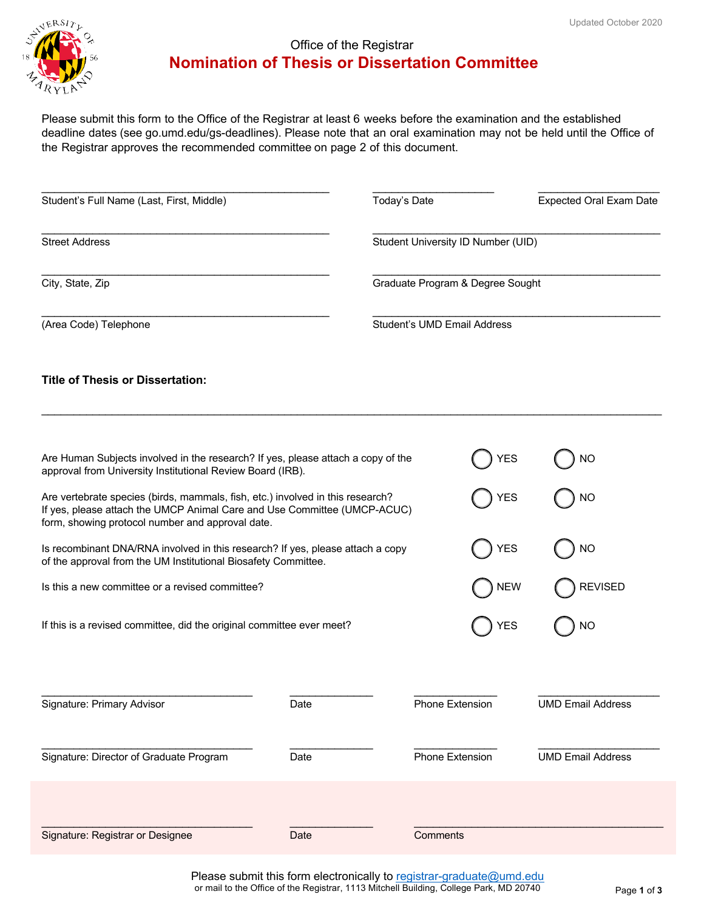

# Office of the Registrar **Nomination of Thesis or Dissertation Committee**

Please submit this form to the Office of the Registrar at least 6 weeks before the examination and the established deadline dates (see go.umd.edu/gs-deadlines). Please note that an oral examination may not be held until the Office of the Registrar approves the recommended committee on page 2 of this document.

| Student's Full Name (Last, First, Middle) | Today's Date                       | <b>Expected Oral Exam Date</b>   |  |
|-------------------------------------------|------------------------------------|----------------------------------|--|
| <b>Street Address</b>                     | Student University ID Number (UID) |                                  |  |
| City, State, Zip                          |                                    | Graduate Program & Degree Sought |  |
| (Area Code) Telephone                     | Student's UMD Email Address        |                                  |  |
| <b>Title of Thesis or Dissertation:</b>   |                                    |                                  |  |

| Are Human Subjects involved in the research? If yes, please attach a copy of the<br>approval from University Institutional Review Board (IRB).                                                                 |            | ΈS                     |                          |
|----------------------------------------------------------------------------------------------------------------------------------------------------------------------------------------------------------------|------------|------------------------|--------------------------|
| Are vertebrate species (birds, mammals, fish, etc.) involved in this research?<br>If yes, please attach the UMCP Animal Care and Use Committee (UMCP-ACUC)<br>form, showing protocol number and approval date. |            | YES                    | NΟ                       |
| Is recombinant DNA/RNA involved in this research? If yes, please attach a copy<br>of the approval from the UM Institutional Biosafety Committee.                                                               | <b>YES</b> | NO                     |                          |
| Is this a new committee or a revised committee?                                                                                                                                                                |            | <b>NEW</b>             | <b>REVISED</b>           |
| If this is a revised committee, did the original committee ever meet?                                                                                                                                          |            | YES                    | NΟ                       |
|                                                                                                                                                                                                                |            |                        |                          |
| Signature: Primary Advisor                                                                                                                                                                                     | Date       | <b>Phone Extension</b> | <b>UMD Email Address</b> |
| Signature: Director of Graduate Program                                                                                                                                                                        | Date       | <b>Phone Extension</b> | <b>UMD Email Address</b> |
|                                                                                                                                                                                                                |            |                        |                          |
| Signature: Registrar or Designee                                                                                                                                                                               | Date       | Comments               |                          |

Please submit this form electronically to registrar-graduate@umd.edu or mail to the Office of the Registrar, 1113 Mitchell Building, College Park, MD 20740 Page **1** of **3**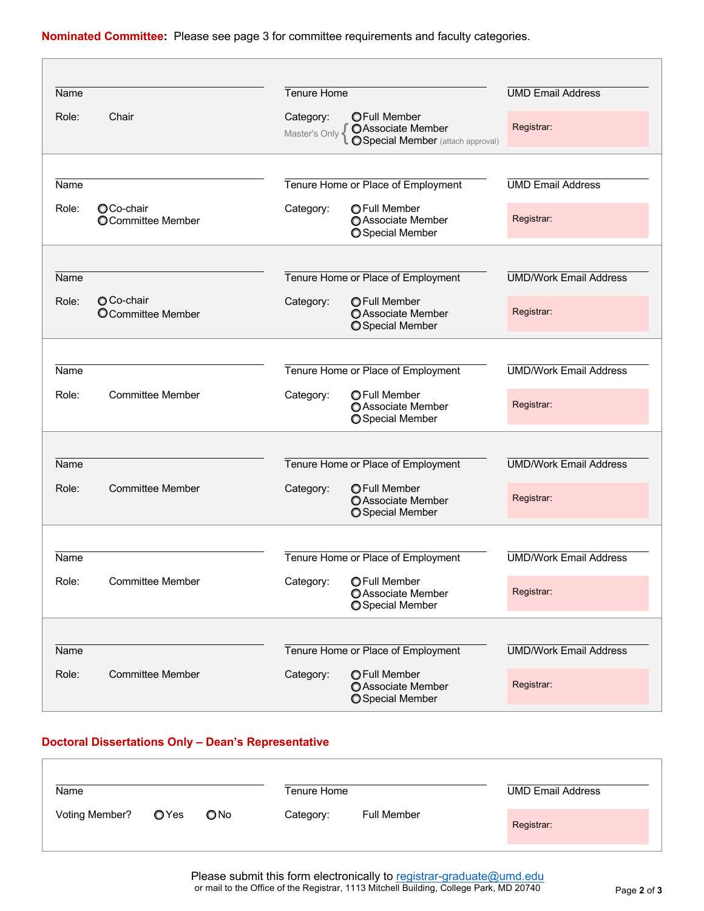Е

| Name  |                                       | Tenure Home                |                                                                                             | <b>UMD Email Address</b>      |
|-------|---------------------------------------|----------------------------|---------------------------------------------------------------------------------------------|-------------------------------|
| Role: | Chair                                 | Category:<br>Master's Only | <b>OFull Member</b><br><b>OAssociate Member</b><br><b>OSpecial Member</b> (attach approval) | Registrar:                    |
|       |                                       |                            |                                                                                             |                               |
| Name  |                                       |                            | Tenure Home or Place of Employment                                                          | <b>UMD Email Address</b>      |
| Role: | OCo-chair<br><b>OCommittee Member</b> | Category:                  | <b>OFull Member</b><br>○ Associate Member<br>Special Member                                 | Registrar:                    |
|       |                                       |                            |                                                                                             |                               |
| Name  |                                       |                            | Tenure Home or Place of Employment                                                          | <b>UMD/Work Email Address</b> |
| Role: | O Co-chair<br>OCommittee Member       | Category:                  | <b>OFull Member</b><br><b>OAssociate Member</b><br>O Special Member                         | Registrar:                    |
|       |                                       |                            |                                                                                             |                               |
| Name  |                                       |                            | Tenure Home or Place of Employment                                                          | <b>UMD/Work Email Address</b> |
| Role: | <b>Committee Member</b>               | Category:                  | <b>OFull Member</b><br><b>O</b> Associate Member<br>Special Member                          | Registrar:                    |
|       |                                       |                            |                                                                                             |                               |
| Name  |                                       |                            | Tenure Home or Place of Employment                                                          | <b>UMD/Work Email Address</b> |
| Role: | <b>Committee Member</b>               | Category:                  | <b>OFull Member</b><br>O Associate Member<br>Special Member                                 | Registrar:                    |
|       |                                       |                            |                                                                                             |                               |
| Name  |                                       |                            | Tenure Home or Place of Employment                                                          | <b>UMD/Work Email Address</b> |
| Role: | <b>Committee Member</b>               | Category:                  | <b>OFull Member</b><br><b>O</b> Associate Member<br>O Special Member                        | Registrar:                    |
|       |                                       |                            |                                                                                             |                               |
| Name  |                                       |                            | Tenure Home or Place of Employment                                                          | <b>UMD/Work Email Address</b> |
| Role: | <b>Committee Member</b>               | Category:                  | <b>OFull Member</b><br><b>O</b> Associate Member<br><b>O</b> Special Member                 | Registrar:                    |

## **Doctoral Dissertations Only – Dean's Representative**

| Name           |                  | Tenure Home   |           | <b>UMD Email Address</b> |            |
|----------------|------------------|---------------|-----------|--------------------------|------------|
| Voting Member? | $\mathsf{O}$ Yes | $\bigcirc$ No | Category: | <b>Full Member</b>       | Registrar: |

Please submit this form electronically to registrar-graduate@umd.edu or mail to the Office of the Registrar, 1113 Mitchell Building, College Park, MD 20740